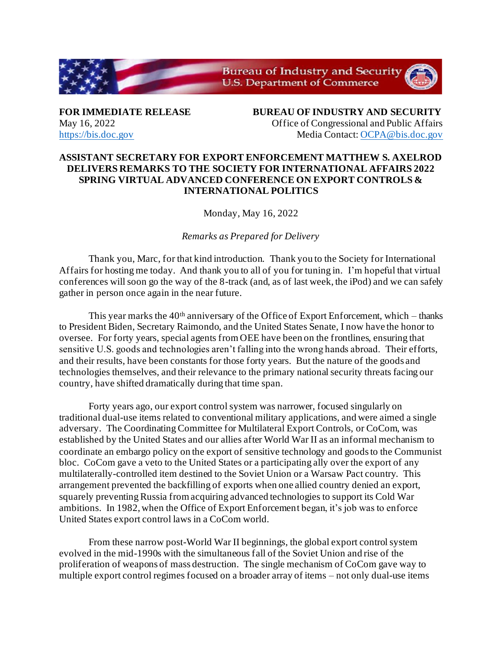

**FOR IMMEDIATE RELEASE BUREAU OF INDUSTRY AND SECURITY** May 16, 2022 Office of Congressional and Public Affairs [https://bis.doc.gov](https://bis.doc.gov/) Media Contact[: OCPA@bis.doc.gov](mailto:OCPA@bis.doc.gov)

## **ASSISTANT SECRETARY FOR EXPORT ENFORCEMENT MATTHEW S. AXELROD DELIVERS REMARKS TO THE SOCIETY FOR INTERNATIONAL AFFAIRS 2022 SPRING VIRTUAL ADVANCED CONFERENCE ON EXPORT CONTROLS & INTERNATIONAL POLITICS**

Monday, May 16, 2022

*Remarks as Prepared for Delivery* 

Thank you, Marc, for that kind introduction. Thank you to the Society for International Affairs for hosting me today. And thank you to all of you for tuning in. I'm hopeful that virtual conferences will soon go the way of the 8-track (and, as of last week, the iPod) and we can safely gather in person once again in the near future.

This year marks the  $40<sup>th</sup>$  anniversary of the Office of Export Enforcement, which – thanks to President Biden, Secretary Raimondo, and the United States Senate, I now have the honor to oversee. For forty years, special agents from OEE have been on the frontlines, ensuring that sensitive U.S. goods and technologies aren't falling into the wrong hands abroad. Their efforts, and their results, have been constants for those forty years. But the nature of the goods and technologies themselves, and their relevance to the primary national security threats facing our country, have shifted dramatically during that time span.

Forty years ago, our export control system was narrower, focused singularly on traditional dual-use items related to conventional military applications, and were aimed a single adversary. The Coordinating Committee for Multilateral Export Controls, or CoCom, was established by the United States and our allies after World War II as an informal mechanism to coordinate an embargo policy on the export of sensitive technology and goods to the Communist bloc. CoCom gave a veto to the United States or a participating ally over the export of any multilaterally-controlled item destined to the Soviet Union or a Warsaw Pact country. This arrangement prevented the backfilling of exports when one allied country denied an export, squarely preventing Russia from acquiring advanced technologies to support its Cold War ambitions. In 1982, when the Office of Export Enforcement began, it's job was to enforce United States export control laws in a CoCom world.

From these narrow post-World War II beginnings, the global export control system evolved in the mid-1990s with the simultaneous fall of the Soviet Union and rise of the proliferation of weapons of mass destruction. The single mechanism of CoCom gave way to multiple export control regimes focused on a broader array of items – not only dual-use items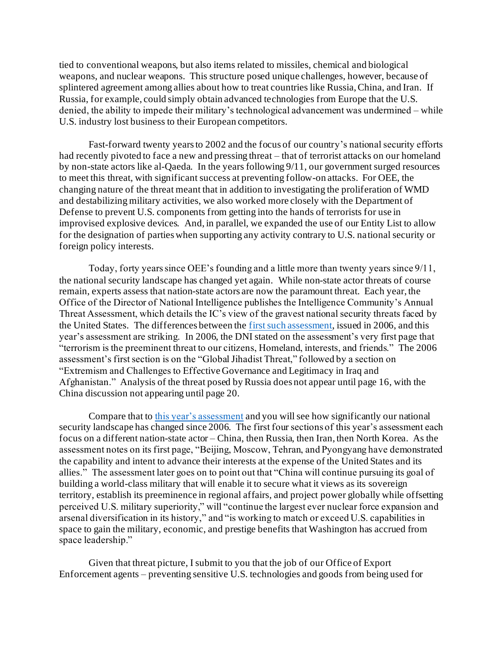tied to conventional weapons, but also items related to missiles, chemical and biological weapons, and nuclear weapons. This structure posed unique challenges, however, because of splintered agreement among allies about how to treat countries like Russia, China, and Iran. If Russia, for example, could simply obtain advanced technologies from Europe that the U.S. denied, the ability to impede their military's technological advancement was undermined – while U.S. industry lost business to their European competitors.

Fast-forward twenty years to 2002 and the focus of our country's national security efforts had recently pivoted to face a new and pressing threat – that of terrorist attacks on our homeland by non-state actors like al-Qaeda. In the years following 9/11, our government surged resources to meet this threat, with significant success at preventing follow-on attacks. For OEE, the changing nature of the threat meant that in addition to investigating the proliferation of WMD and destabilizing military activities, we also worked more closely with the Department of Defense to prevent U.S. components from getting into the hands of terrorists for use in improvised explosive devices. And, in parallel, we expanded the use of our Entity List to allow for the designation of parties when supporting any activity contrary to U.S. national security or foreign policy interests.

Today, forty years since OEE's founding and a little more than twenty years since 9/11, the national security landscape has changed yet again. While non-state actor threats of course remain, experts assess that nation-state actors are now the paramount threat. Each year, the Office of the Director of National Intelligence publishes the Intelligence Community's Annual Threat Assessment, which details the IC's view of the gravest national security threats faced by the United States. The differences between th[e first such assessment](https://www.dni.gov/files/documents/Newsroom/Testimonies/20060202_testimony.pdf), issued in 2006, and this year's assessment are striking. In 2006, the DNI stated on the assessment's very first page that "terrorism is the preeminent threat to our citizens, Homeland, interests, and friends." The 2006 assessment's first section is on the "Global Jihadist Threat," followed by a section on "Extremism and Challenges to Effective Governance and Legitimacy in Iraq and Afghanistan." Analysis of the threat posed by Russia does not appear until page 16, with the China discussion not appearing until page 20.

Compare that t[o this year's assessment](https://www.dni.gov/files/ODNI/documents/assessments/ATA-2022-Unclassified-Report.pdf) and you will see how significantly our national security landscape has changed since 2006. The first four sections of this year's assessment each focus on a different nation-state actor – China, then Russia, then Iran, then North Korea. As the assessment notes on its first page, "Beijing, Moscow, Tehran, and Pyongyang have demonstrated the capability and intent to advance their interests at the expense of the United States and its allies." The assessment later goes on to point out that "China will continue pursuing its goal of building a world-class military that will enable it to secure what it views as its sovereign territory, establish its preeminence in regional affairs, and project power globally while offsetting perceived U.S. military superiority," will "continue the largest ever nuclear force expansion and arsenal diversification in its history," and "is working to match or exceed U.S. capabilities in space to gain the military, economic, and prestige benefits that Washington has accrued from space leadership."

Given that threat picture, I submit to you that the job of our Office of Export Enforcement agents – preventing sensitive U.S. technologies and goods from being used for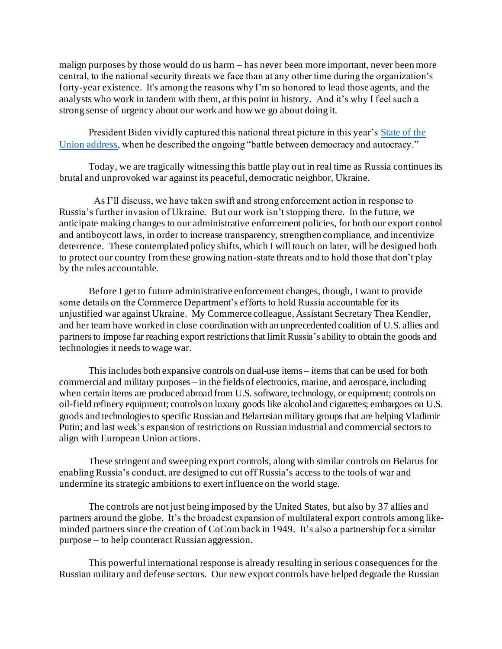malign purposes by those would do us harm – has never been more important, never been more central, to the national security threats we face than at any other time during the organization's forty-year existence. It's among the reasons why I'm so honored to lead those agents, and the analysts who work in tandem with them, at this point in history. And it's why I feel such a strong sense of urgency about our work and how we go about doing it.

President Biden vividly captured this national threat picture in this year'[s State of the](https://www.whitehouse.gov/state-of-the-union-2022/)  [Union address](https://www.whitehouse.gov/state-of-the-union-2022/), when he described the ongoing "battle between democracy and autocracy."

Today, we are tragically witnessing this battle play out in real time as Russia continues its brutal and unprovoked war against its peaceful, democratic neighbor, Ukraine.

As I'll discuss, we have taken swift and strong enforcement action in response to Russia's further invasion of Ukraine. But our work isn't stopping there. In the future, we anticipate making changes to our administrative enforcement policies, for both our export control and antiboycott laws, in order to increase transparency, strengthen compliance, and incentivize deterrence. These contemplated policy shifts, which I will touch on later, will be designed both to protect our country from these growing nation-state threats and to hold those that don't play by the rules accountable.

Before I get to future administrative enforcement changes, though, I want to provide some details on the Commerce Department's efforts to hold Russia accountable for its unjustified war against Ukraine. My Commerce colleague, Assistant Secretary Thea Kendler, and her team have worked in close coordination with an unprecedented coalition of U.S. allies and partners to impose far reaching export restrictions that limit Russia's ability to obtain the goods and technologies it needs to wage war.

This includes both expansive controls on dual-use items – items that can be used for both commercial and military purposes – in the fields of electronics, marine, and aerospace, including when certain items are produced abroad from U.S. software, technology, or equipment; controls on oil-field refinery equipment; controls on luxury goods like alcohol and cigarettes; embargoes on U.S. goods and technologiesto specificRussian and Belarusian military groups that are helping Vladimir Putin; and last week's expansion of restrictions on Russian industrial and commercial sectors to align with European Union actions.

These stringent and sweeping export controls, along with similar controls on Belarus for enabling Russia's conduct, are designed to cut off Russia's access to the tools of war and undermine its strategic ambitions to exert influence on the world stage.

The controls are not just being imposed by the United States, but also by 37 allies and partners around the globe. It's the broadest expansion of multilateral export controls among likeminded partners since the creation of CoCom back in 1949. It's also a partnership for a similar purpose – to help counteract Russian aggression.

This powerful international response is already resulting in serious consequences for the Russian military and defense sectors. Our new export controls have helped degrade the Russian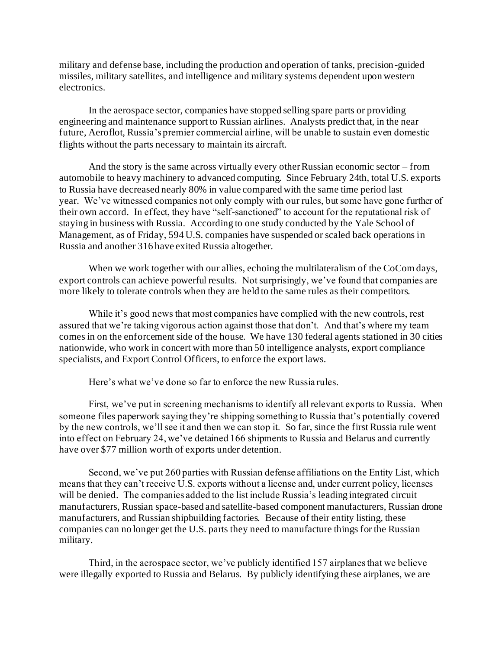military and defense base, including the production and operation of tanks, precision-guided missiles, military satellites, and intelligence and military systems dependent upon western electronics.

In the aerospace sector, companies have stopped selling spare parts or providing engineering and maintenance support to Russian airlines. Analysts predict that, in the near future, Aeroflot, Russia's premier commercial airline, will be unable to sustain even domestic flights without the parts necessary to maintain its aircraft.

And the story is the same across virtually every other Russian economic sector – from automobile to heavy machinery to advanced computing. Since February 24th, total U.S. exports to Russia have decreased nearly 80% in value compared with the same time period last year. We've witnessed companies not only comply with our rules, but some have gone further of their own accord. In effect, they have "self-sanctioned" to account for the reputational risk of staying in business with Russia. According to one study conducted by the Yale School of Management, as of Friday, 594 U.S. companies have suspended or scaled back operations in Russia and another 316 have exited Russia altogether.

When we work together with our allies, echoing the multilateralism of the CoCom days, export controls can achieve powerful results. Not surprisingly, we've found that companies are more likely to tolerate controls when they are held to the same rules as their competitors.

While it's good news that most companies have complied with the new controls, rest assured that we're taking vigorous action against those that don't. And that's where my team comes in on the enforcement side of the house. We have 130 federal agents stationed in 30 cities nationwide, who work in concert with more than 50 intelligence analysts, export compliance specialists, and Export Control Officers, to enforce the export laws.

Here's what we've done so far to enforce the new Russia rules.

First, we've put in screening mechanisms to identify all relevant exports to Russia. When someone files paperwork saying they're shipping something to Russia that's potentially covered by the new controls, we'll see it and then we can stop it. So far, since the first Russia rule went into effect on February 24, we've detained 166 shipments to Russia and Belarus and currently have over \$77 million worth of exports under detention.

Second, we've put 260 parties with Russian defense affiliations on the Entity List, which means that they can't receive U.S. exports without a license and, under current policy, licenses will be denied. The companies added to the list include Russia's leading integrated circuit manufacturers, Russian space-based and satellite-based component manufacturers, Russian drone manufacturers, and Russian shipbuilding factories. Because of their entity listing, these companies can no longer get the U.S. parts they need to manufacture things for the Russian military.

Third, in the aerospace sector, we've publicly identified 157 airplanes that we believe were illegally exported to Russia and Belarus. By publicly identifying these airplanes, we are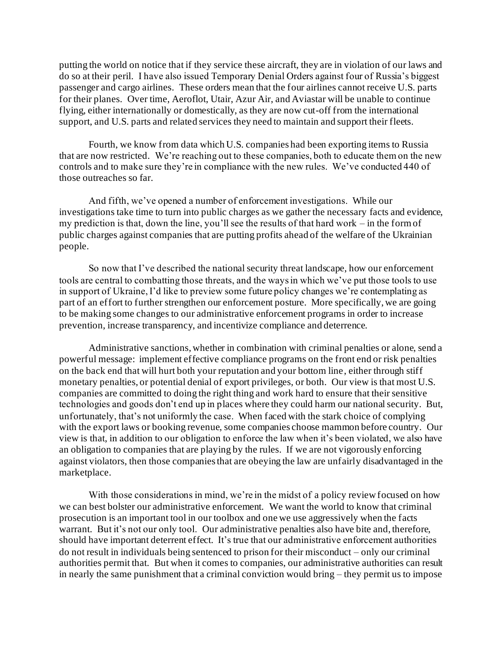putting the world on notice that if they service these aircraft, they are in violation of our laws and do so at their peril. I have also issued Temporary Denial Orders against four of Russia's biggest passenger and cargo airlines. These orders mean that the four airlines cannot receive U.S. parts for their planes. Over time, Aeroflot, Utair, Azur Air, and Aviastar will be unable to continue flying, either internationally or domestically, as they are now cut-off from the international support, and U.S. parts and related services they need to maintain and support their fleets.

Fourth, we know from data which U.S. companies had been exporting items to Russia that are now restricted. We're reaching out to these companies, both to educate them on the new controls and to make sure they're in compliance with the new rules. We've conducted 440 of those outreaches so far.

And fifth, we've opened a number of enforcement investigations. While our investigations take time to turn into public charges as we gather the necessary facts and evidence, my prediction is that, down the line, you'll see the results of that hard work – in the form of public charges against companies that are putting profits ahead of the welfare of the Ukrainian people.

So now that I've described the national security threat landscape, how our enforcement tools are central to combatting those threats, and the ways in which we've put those tools to use in support of Ukraine, I'd like to preview some future policy changes we're contemplating as part of an effort to further strengthen our enforcement posture. More specifically, we are going to be making some changes to our administrative enforcement programs in order to increase prevention, increase transparency, and incentivize compliance and deterrence.

Administrative sanctions, whether in combination with criminal penalties or alone, send a powerful message: implement effective compliance programs on the front end or risk penalties on the back end that will hurt both your reputation and your bottom line, either through stiff monetary penalties, or potential denial of export privileges, or both. Our view is that most U.S. companies are committed to doing the right thing and work hard to ensure that their sensitive technologies and goods don't end up in places where they could harm our national security. But, unfortunately, that's not uniformly the case. When faced with the stark choice of complying with the export laws or booking revenue, some companies choose mammon before country. Our view is that, in addition to our obligation to enforce the law when it's been violated, we also have an obligation to companies that are playing by the rules. If we are not vigorously enforcing against violators, then those companies that are obeying the law are unfairly disadvantaged in the marketplace.

With those considerations in mind, we're in the midst of a policy review focused on how we can best bolster our administrative enforcement. We want the world to know that criminal prosecution is an important tool in our toolbox and one we use aggressively when the facts warrant. But it's not our only tool. Our administrative penalties also have bite and, therefore, should have important deterrent effect. It's true that our administrative enforcement authorities do not result in individuals being sentenced to prison for their misconduct – only our criminal authorities permit that. But when it comes to companies, our administrative authorities can result in nearly the same punishment that a criminal conviction would bring – they permit us to impose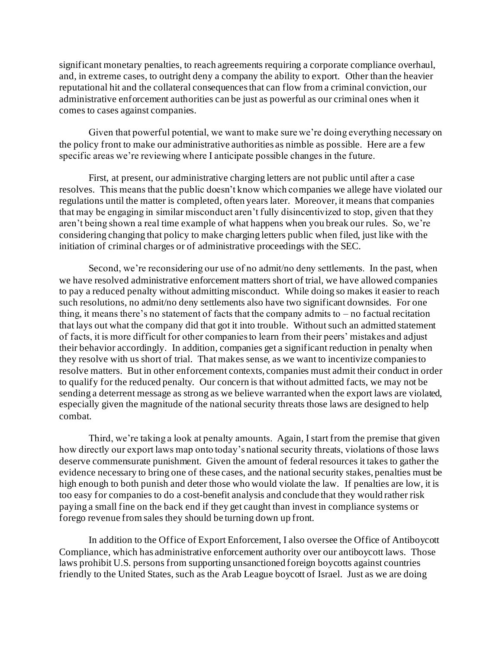significant monetary penalties, to reach agreements requiring a corporate compliance overhaul, and, in extreme cases, to outright deny a company the ability to export. Other than the heavier reputational hit and the collateral consequences that can flow from a criminal conviction, our administrative enforcement authorities can be just as powerful as our criminal ones when it comes to cases against companies.

Given that powerful potential, we want to make sure we're doing everything necessary on the policy front to make our administrative authorities as nimble as possible. Here are a few specific areas we're reviewing where I anticipate possible changes in the future.

First, at present, our administrative charging letters are not public until after a case resolves. This means that the public doesn't know which companies we allege have violated our regulations until the matter is completed, often years later. Moreover, it means that companies that may be engaging in similar misconduct aren't fully disincentivized to stop, given that they aren't being shown a real time example of what happens when you break our rules. So, we're considering changing that policy to make charging letters public when filed, just like with the initiation of criminal charges or of administrative proceedings with the SEC.

 Second, we're reconsidering our use of no admit/no deny settlements. In the past, when we have resolved administrative enforcement matters short of trial, we have allowed companies to pay a reduced penalty without admitting misconduct. While doing so makes it easier to reach such resolutions, no admit/no deny settlements also have two significant downsides. For one thing, it means there's no statement of facts that the company admits to  $-$  no factual recitation that lays out what the company did that got it into trouble. Without such an admitted statement of facts, it is more difficult for other companies to learn from their peers' mistakes and adjust their behavior accordingly. In addition, companies get a significant reduction in penalty when they resolve with us short of trial. That makes sense, as we want to incentivize companies to resolve matters. But in other enforcement contexts, companies must admit their conduct in order to qualify for the reduced penalty. Our concern is that without admitted facts, we may not be sending a deterrent message as strong as we believe warranted when the export laws are violated, especially given the magnitude of the national security threats those laws are designed to help combat.

Third, we're taking a look at penalty amounts. Again, I start from the premise that given how directly our export laws map onto today's national security threats, violations of those laws deserve commensurate punishment. Given the amount of federal resources it takes to gather the evidence necessary to bring one of these cases, and the national security stakes, penalties must be high enough to both punish and deter those who would violate the law. If penalties are low, it is too easy for companies to do a cost-benefit analysis and conclude that they would rather risk paying a small fine on the back end if they get caught than invest in compliance systems or forego revenue from sales they should be turning down up front.

 In addition to the Office of Export Enforcement, I also oversee the Office of Antiboycott Compliance, which has administrative enforcement authority over our antiboycott laws. Those laws prohibit U.S. persons from supporting unsanctioned foreign boycotts against countries friendly to the United States, such as the Arab League boycott of Israel. Just as we are doing